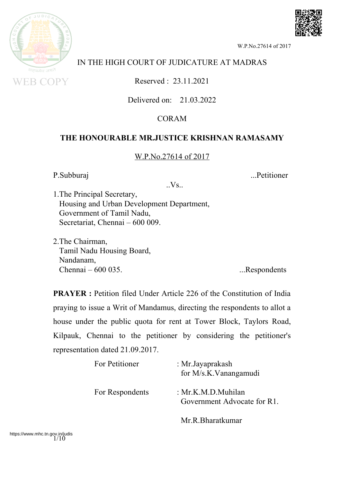

# IN THE HIGH COURT OF JUDICATURE AT MADRAS

Reserved : 23.11.2021

Delivered on: 21.03.2022

## CORAM

### **THE HONOURABLE MR.JUSTICE KRISHNAN RAMASAMY**

### W.P.No.27614 of 2017

P.Subburaj ....Petitioner

 $Vs$ .

1.The Principal Secretary, Housing and Urban Development Department, Government of Tamil Nadu, Secretariat, Chennai – 600 009.

2.The Chairman, Tamil Nadu Housing Board, Nandanam, Chennai – 600 035. ...Respondents

**PRAYER :** Petition filed Under Article 226 of the Constitution of India praying to issue a Writ of Mandamus, directing the respondents to allot a house under the public quota for rent at Tower Block, Taylors Road, Kilpauk, Chennai to the petitioner by considering the petitioner's representation dated 21.09.2017.

| For Petitioner  | : Mr. Jayaprakash<br>for M/s.K.Vanangamudi        |
|-----------------|---------------------------------------------------|
| For Respondents | : Mr.K.M.D.Muhilan<br>Government Advocate for R1. |
|                 | Mr.R.Bharatkumar                                  |



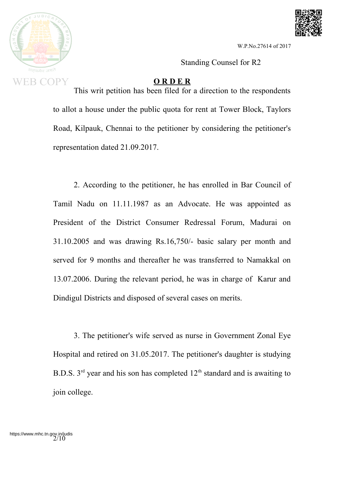



Standing Counsel for R2

#### **O R D E R**

This writ petition has been filed for a direction to the respondents to allot a house under the public quota for rent at Tower Block, Taylors Road, Kilpauk, Chennai to the petitioner by considering the petitioner's representation dated 21.09.2017.

2. According to the petitioner, he has enrolled in Bar Council of Tamil Nadu on 11.11.1987 as an Advocate. He was appointed as President of the District Consumer Redressal Forum, Madurai on 31.10.2005 and was drawing Rs.16,750/- basic salary per month and served for 9 months and thereafter he was transferred to Namakkal on 13.07.2006. During the relevant period, he was in charge of Karur and Dindigul Districts and disposed of several cases on merits.

3. The petitioner's wife served as nurse in Government Zonal Eye Hospital and retired on 31.05.2017. The petitioner's daughter is studying B.D.S.  $3<sup>rd</sup>$  year and his son has completed  $12<sup>th</sup>$  standard and is awaiting to join college.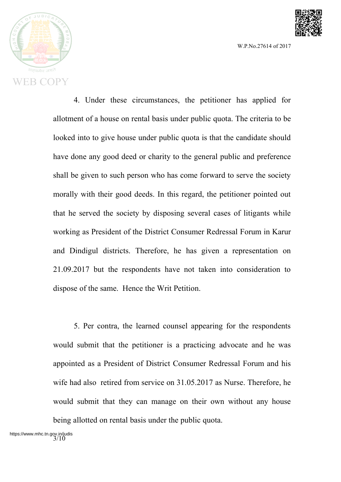



4. Under these circumstances, the petitioner has applied for allotment of a house on rental basis under public quota. The criteria to be looked into to give house under public quota is that the candidate should have done any good deed or charity to the general public and preference shall be given to such person who has come forward to serve the society morally with their good deeds. In this regard, the petitioner pointed out that he served the society by disposing several cases of litigants while working as President of the District Consumer Redressal Forum in Karur and Dindigul districts. Therefore, he has given a representation on 21.09.2017 but the respondents have not taken into consideration to dispose of the same. Hence the Writ Petition.

5. Per contra, the learned counsel appearing for the respondents would submit that the petitioner is a practicing advocate and he was appointed as a President of District Consumer Redressal Forum and his wife had also retired from service on 31.05.2017 as Nurse. Therefore, he would submit that they can manage on their own without any house being allotted on rental basis under the public quota.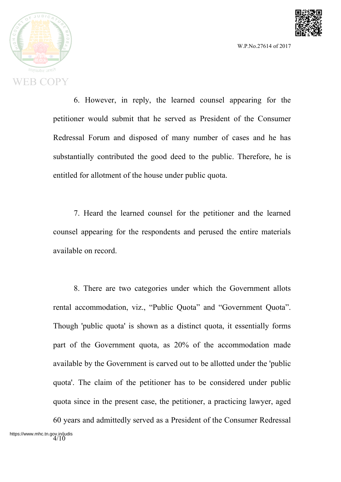



6. However, in reply, the learned counsel appearing for the petitioner would submit that he served as President of the Consumer Redressal Forum and disposed of many number of cases and he has substantially contributed the good deed to the public. Therefore, he is entitled for allotment of the house under public quota.

7. Heard the learned counsel for the petitioner and the learned counsel appearing for the respondents and perused the entire materials available on record.

8. There are two categories under which the Government allots rental accommodation, viz., "Public Quota" and "Government Quota". Though 'public quota' is shown as a distinct quota, it essentially forms part of the Government quota, as 20% of the accommodation made available by the Government is carved out to be allotted under the 'public quota'. The claim of the petitioner has to be considered under public quota since in the present case, the petitioner, a practicing lawyer, aged

60 years and admittedly served as a President of the Consumer Redressal https://www.mhc.tn.gov.in/judis<br>4/10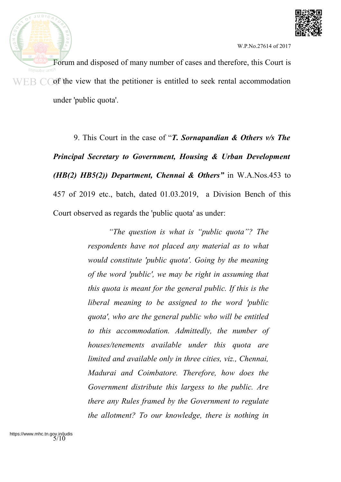



Forum and disposed of many number of cases and therefore, this Court is  $E_{\text{B}}$   $\bigcirc$  of the view that the petitioner is entitled to seek rental accommodation under 'public quota'.

> 9. This Court in the case of "*T. Sornapandian & Others v/s The Principal Secretary to Government, Housing & Urban Development (HB(2) HB5(2)) Department, Chennai & Others"* in W.A.Nos.453 to 457 of 2019 etc., batch, dated 01.03.2019, a Division Bench of this Court observed as regards the 'public quota' as under:

> > *"The question is what is "public quota"? The respondents have not placed any material as to what would constitute 'public quota'. Going by the meaning of the word 'public', we may be right in assuming that this quota is meant for the general public. If this is the liberal meaning to be assigned to the word 'public quota', who are the general public who will be entitled to this accommodation. Admittedly, the number of houses/tenements available under this quota are limited and available only in three cities, viz., Chennai, Madurai and Coimbatore. Therefore, how does the Government distribute this largess to the public. Are there any Rules framed by the Government to regulate the allotment? To our knowledge, there is nothing in*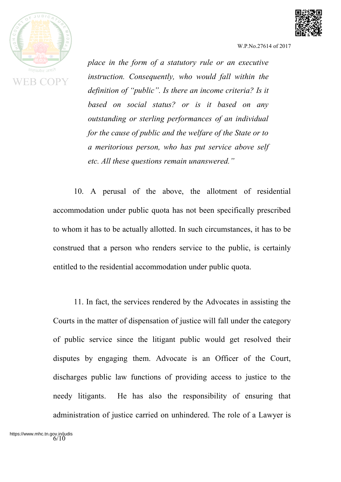

**EB COPY** 

W.P.No.27614 of 2017

*place in the form of a statutory rule or an executive instruction. Consequently, who would fall within the definition of "public". Is there an income criteria? Is it based on social status? or is it based on any outstanding or sterling performances of an individual for the cause of public and the welfare of the State or to a meritorious person, who has put service above self etc. All these questions remain unanswered."*

10. A perusal of the above, the allotment of residential accommodation under public quota has not been specifically prescribed to whom it has to be actually allotted. In such circumstances, it has to be construed that a person who renders service to the public, is certainly entitled to the residential accommodation under public quota.

11. In fact, the services rendered by the Advocates in assisting the Courts in the matter of dispensation of justice will fall under the category of public service since the litigant public would get resolved their disputes by engaging them. Advocate is an Officer of the Court, discharges public law functions of providing access to justice to the needy litigants. He has also the responsibility of ensuring that administration of justice carried on unhindered. The role of a Lawyer is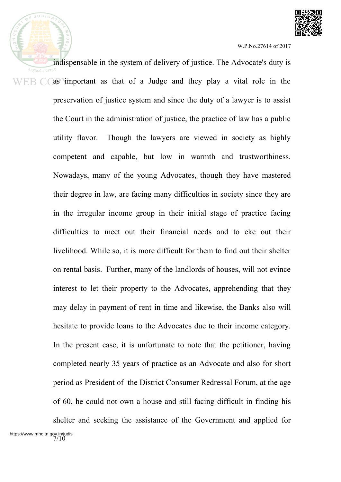

indispensable in the system of delivery of justice. The Advocate's duty is as important as that of a Judge and they play a vital role in the preservation of justice system and since the duty of a lawyer is to assist the Court in the administration of justice, the practice of law has a public utility flavor. Though the lawyers are viewed in society as highly competent and capable, but low in warmth and trustworthiness. Nowadays, many of the young Advocates, though they have mastered their degree in law, are facing many difficulties in society since they are in the irregular income group in their initial stage of practice facing difficulties to meet out their financial needs and to eke out their livelihood. While so, it is more difficult for them to find out their shelter on rental basis. Further, many of the landlords of houses, will not evince interest to let their property to the Advocates, apprehending that they may delay in payment of rent in time and likewise, the Banks also will hesitate to provide loans to the Advocates due to their income category. In the present case, it is unfortunate to note that the petitioner, having completed nearly 35 years of practice as an Advocate and also for short period as President of the District Consumer Redressal Forum, at the age of 60, he could not own a house and still facing difficult in finding his shelter and seeking the assistance of the Government and applied for https://www.mhc.tn.gov.in/judis<br>7/10

 $JUDIC$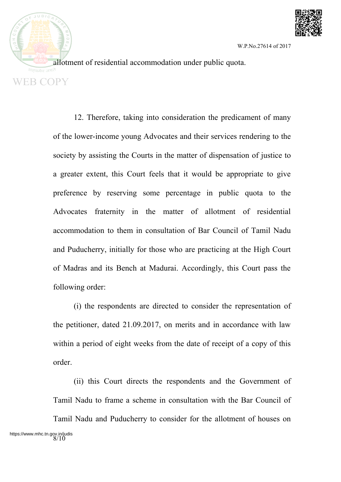

allotment of residential accommodation under public quota. **EB COPY** 

 $JUDIC$ 

12. Therefore, taking into consideration the predicament of many of the lower-income young Advocates and their services rendering to the society by assisting the Courts in the matter of dispensation of justice to a greater extent, this Court feels that it would be appropriate to give preference by reserving some percentage in public quota to the Advocates fraternity in the matter of allotment of residential accommodation to them in consultation of Bar Council of Tamil Nadu and Puducherry, initially for those who are practicing at the High Court of Madras and its Bench at Madurai. Accordingly, this Court pass the following order:

(i) the respondents are directed to consider the representation of the petitioner, dated 21.09.2017, on merits and in accordance with law within a period of eight weeks from the date of receipt of a copy of this order.

(ii) this Court directs the respondents and the Government of Tamil Nadu to frame a scheme in consultation with the Bar Council of Tamil Nadu and Puducherry to consider for the allotment of houses on https://www.mhc.tn.gov.in/judis<br>8/10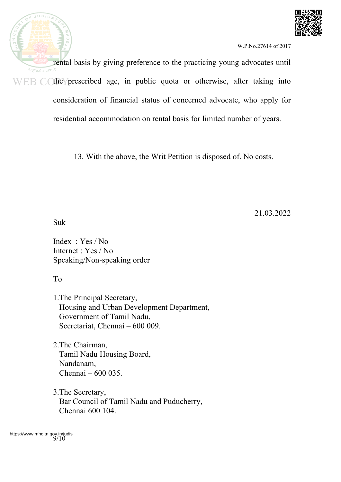



rental basis by giving preference to the practicing young advocates until सत्यमेव जयते  $WEB$  C the prescribed age, in public quota or otherwise, after taking into consideration of financial status of concerned advocate, who apply for residential accommodation on rental basis for limited number of years.

13. With the above, the Writ Petition is disposed of. No costs.

21.03.2022

Suk

Index : Yes / No Internet : Yes / No Speaking/Non-speaking order

To

1.The Principal Secretary, Housing and Urban Development Department, Government of Tamil Nadu, Secretariat, Chennai – 600 009.

2.The Chairman, Tamil Nadu Housing Board, Nandanam, Chennai – 600 035.

3.The Secretary, Bar Council of Tamil Nadu and Puducherry, Chennai 600 104.

https://www.mhc.tn.gov.in/judis<br>9/10